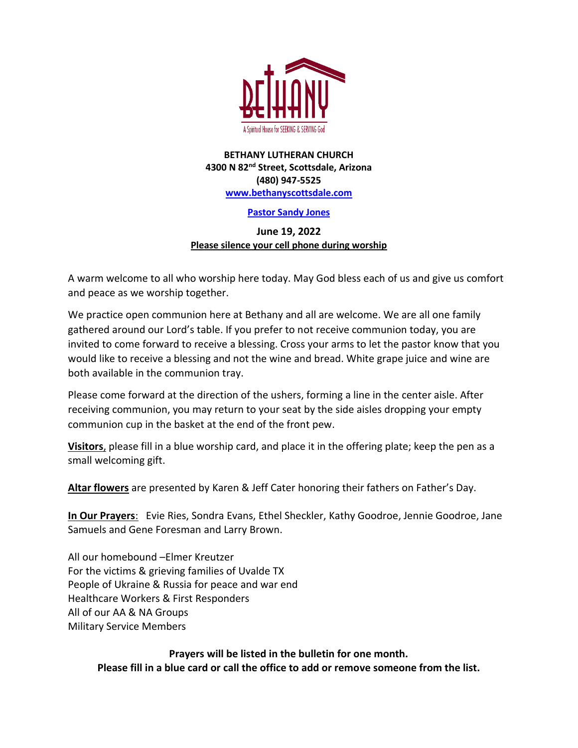

### **BETHANY LUTHERAN CHURCH 4300 N 82nd Street, Scottsdale, Arizona (480) 947-5525 [www.bethanyscottsdale.com](http://www.bethanyscottsdale.com/)**

## **Pastor Sandy Jones**

## **June 19, 2022 Please silence your cell phone during worship**

A warm welcome to all who worship here today. May God bless each of us and give us comfort and peace as we worship together.

We practice open communion here at Bethany and all are welcome. We are all one family gathered around our Lord's table. If you prefer to not receive communion today, you are invited to come forward to receive a blessing. Cross your arms to let the pastor know that you would like to receive a blessing and not the wine and bread. White grape juice and wine are both available in the communion tray.

Please come forward at the direction of the ushers, forming a line in the center aisle. After receiving communion, you may return to your seat by the side aisles dropping your empty communion cup in the basket at the end of the front pew.

**Visitors**, please fill in a blue worship card, and place it in the offering plate; keep the pen as a small welcoming gift.

**Altar flowers** are presented by Karen & Jeff Cater honoring their fathers on Father's Day.

**In Our Prayers**: Evie Ries, Sondra Evans, Ethel Sheckler, Kathy Goodroe, Jennie Goodroe, Jane Samuels and Gene Foresman and Larry Brown.

All our homebound –Elmer Kreutzer For the victims & grieving families of Uvalde TX People of Ukraine & Russia for peace and war end Healthcare Workers & First Responders All of our AA & NA Groups Military Service Members

> **Prayers will be listed in the bulletin for one month. Please fill in a blue card or call the office to add or remove someone from the list.**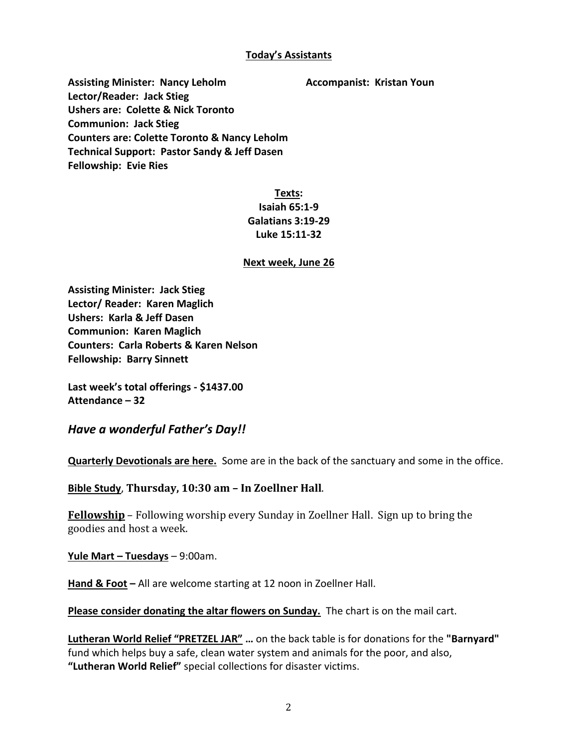### **Today's Assistants**

**Assisting Minister: Nancy Leholm Accompanist: Kristan Youn Lector/Reader: Jack Stieg Ushers are: Colette & Nick Toronto Communion: Jack Stieg Counters are: Colette Toronto & Nancy Leholm Technical Support: Pastor Sandy & Jeff Dasen Fellowship: Evie Ries**

# **Texts: Isaiah 65:1-9 Galatians 3:19-29 Luke 15:11-32**

## **Next week, June 26**

**Assisting Minister: Jack Stieg Lector/ Reader: Karen Maglich Ushers: Karla & Jeff Dasen Communion: Karen Maglich Counters: Carla Roberts & Karen Nelson Fellowship: Barry Sinnett**

**Last week's total offerings - \$1437.00 Attendance – 32**

# *Have a wonderful Father's Day!!*

**Quarterly Devotionals are here.** Some are in the back of the sanctuary and some in the office.

**Bible Study**, **Thursday, 10:30 am – In Zoellner Hall**.

**Fellowship** – Following worship every Sunday in Zoellner Hall. Sign up to bring the goodies and host a week.

**Yule Mart – Tuesdays** – 9:00am.

**Hand & Foot –** All are welcome starting at 12 noon in Zoellner Hall.

**Please consider donating the altar flowers on Sunday.** The chart is on the mail cart.

**Lutheran World Relief "PRETZEL JAR" …** on the back table is for donations for the **"Barnyard"** fund which helps buy a safe, clean water system and animals for the poor, and also, **"Lutheran World Relief"** special collections for disaster victims.